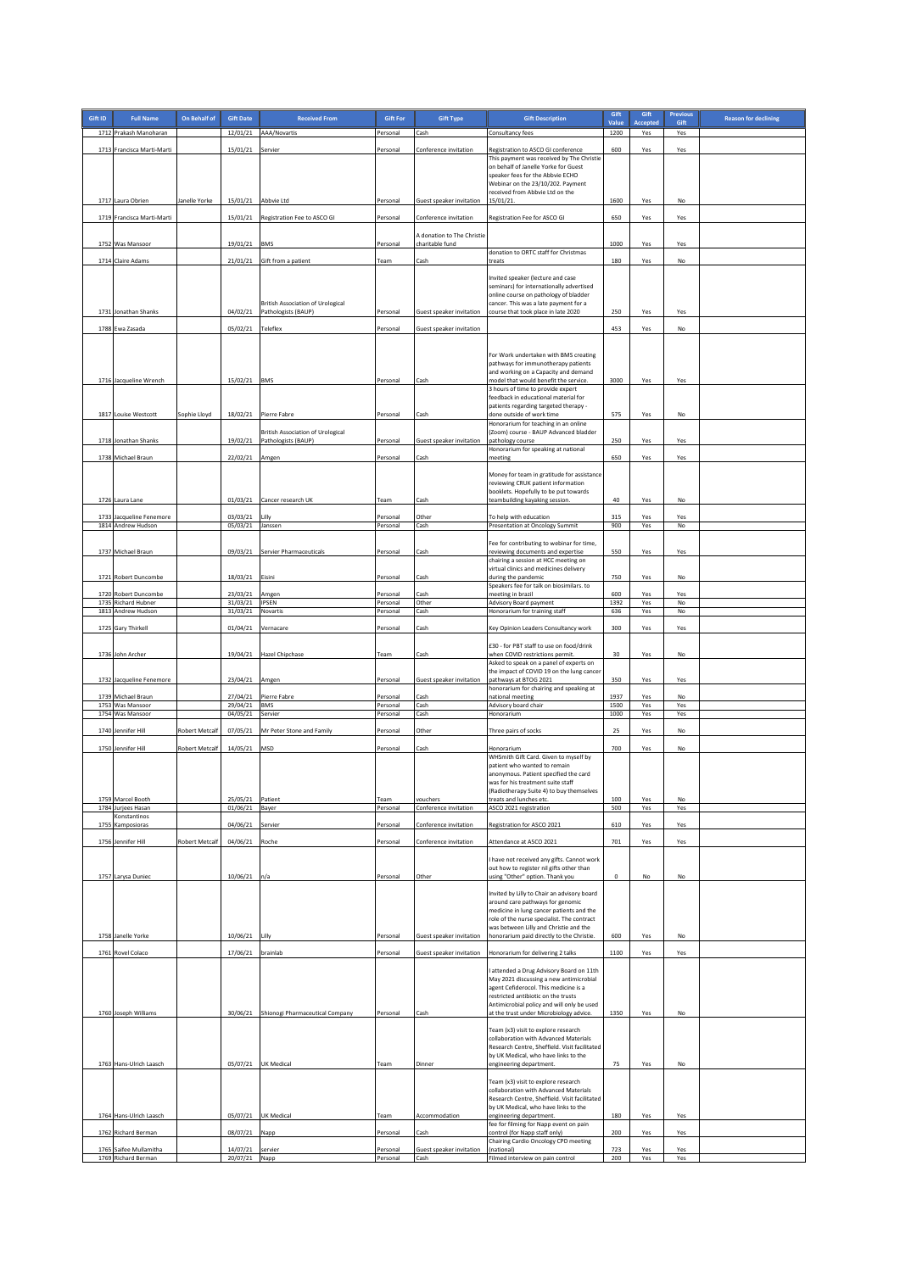| Gift ID | <b>Full Name</b>                                           | On Behalf of          | <b>Gift Date</b>                 | <b>Received From</b>                                            | <b>Gift For</b>                  | <b>Gift Type</b>                              | <b>Gift Description</b>                                                                                                                                                                                                                                                                           | Gift<br>Value        | Gift<br>Accepted  | <b>Previous</b><br>Gift | <b>Reason for declining</b> |
|---------|------------------------------------------------------------|-----------------------|----------------------------------|-----------------------------------------------------------------|----------------------------------|-----------------------------------------------|---------------------------------------------------------------------------------------------------------------------------------------------------------------------------------------------------------------------------------------------------------------------------------------------------|----------------------|-------------------|-------------------------|-----------------------------|
|         | 1712 Prakash Manoharan                                     |                       | 12/01/21                         | AAA/Novartis                                                    | Personal                         | Cash                                          | Consultancy fees                                                                                                                                                                                                                                                                                  | 1200                 | Yes               | Yes                     |                             |
|         | 1713 Francisca Marti-Marti                                 |                       | 15/01/21                         | Servier                                                         | Personal                         | Conference invitation                         | Registration to ASCO GI conference<br>This payment was received by The Christie<br>on behalf of Janelle Yorke for Guest<br>speaker fees for the Abbvie ECHO<br>Webinar on the 23/10/202. Payment<br>received from Abbvie Ltd on the                                                               | 600                  | Yes               | Yes                     |                             |
|         | 1717 Laura Obrien                                          | Janelle Yorke         | 15/01/21 Abbvie Ltd              |                                                                 | Personal                         | Guest speaker invitation                      | 15/01/21.                                                                                                                                                                                                                                                                                         | 1600                 | Yes               | No                      |                             |
|         | 1719 Francisca Marti-Marti                                 |                       |                                  | 15/01/21 Registration Fee to ASCO GI                            | Personal                         | Conference invitation                         | Registration Fee for ASCO GI                                                                                                                                                                                                                                                                      | 650                  | Yes               | Yes                     |                             |
|         |                                                            |                       |                                  |                                                                 |                                  | A donation to The Christie<br>charitable fund |                                                                                                                                                                                                                                                                                                   | 1000                 |                   |                         |                             |
|         | 1752 Was Mansoor                                           |                       | 19/01/21                         | <b>BMS</b>                                                      | Personal                         |                                               | donation to ORTC staff for Christmas                                                                                                                                                                                                                                                              |                      | Yes               | Yes                     |                             |
|         | 1714 Claire Adams                                          |                       | 21/01/21                         | Gift from a patient                                             | Team                             | Cash                                          | treats                                                                                                                                                                                                                                                                                            | 180                  | Yes               | No                      |                             |
|         |                                                            |                       |                                  | <b>British Association of Urological</b>                        |                                  |                                               | Invited speaker (lecture and case<br>seminars) for internationally advertised<br>online course on pathology of bladder<br>cancer. This was a late payment for a                                                                                                                                   |                      |                   |                         |                             |
|         | 1731 Jonathan Shanks                                       |                       | 04/02/21                         | Pathologists (BAUP)                                             | Personal                         | Guest speaker invitation                      | course that took place in late 2020                                                                                                                                                                                                                                                               | 250                  | Yes               | Yes                     |                             |
|         | 1788 Ewa Zasada                                            |                       | 05/02/21                         | Teleflex                                                        | Personal                         | Guest speaker invitation                      | For Work undertaken with BMS creating                                                                                                                                                                                                                                                             | 453                  | Yes               | No                      |                             |
|         |                                                            |                       |                                  |                                                                 |                                  |                                               | pathways for immunotherapy patients<br>and working on a Capacity and demand                                                                                                                                                                                                                       |                      |                   |                         |                             |
|         | 1716 Jacqueline Wrench                                     |                       | 15/02/21                         | <b>BMS</b>                                                      | Personal                         | Cash                                          | model that would benefit the service.<br>3 hours of time to provide expert                                                                                                                                                                                                                        | 3000                 | Yes               | Yes                     |                             |
|         | 1817 Louise Westcott                                       | Sophie Lloyd          | 18/02/21                         | Pierre Fabre                                                    | Personal                         | Cash                                          | feedback in educational material for<br>patients regarding targeted therapy -<br>done outside of work time<br>Honorarium for teaching in an online                                                                                                                                                | 575                  | Yes               | No                      |                             |
|         | 1718 Jonathan Shanks                                       |                       | 19/02/21                         | <b>British Association of Urological</b><br>Pathologists (BAUP) | Personal                         | Guest speaker invitation                      | (Zoom) course - BAUP Advanced bladder<br>pathology course                                                                                                                                                                                                                                         | 250                  | Yes               | Yes                     |                             |
|         | 1738 Michael Braun                                         |                       | 22/02/21                         | Amgen                                                           | Personal                         | Cash                                          | Honorarium for speaking at national<br>meeting                                                                                                                                                                                                                                                    | 650                  | Yes               | Yes                     |                             |
|         |                                                            |                       |                                  |                                                                 |                                  |                                               |                                                                                                                                                                                                                                                                                                   |                      |                   |                         |                             |
|         |                                                            |                       |                                  |                                                                 |                                  |                                               | Money for team in gratitude for assistance<br>reviewing CRUK patient information                                                                                                                                                                                                                  |                      |                   |                         |                             |
|         | 1726 Laura Lane                                            |                       |                                  | 01/03/21 Cancer research UK                                     | Team                             | Cash                                          | booklets. Hopefully to be put towards<br>teambuilding kayaking session.                                                                                                                                                                                                                           | 40                   | Yes               | No                      |                             |
|         | 1733 Jacqueline Fenemore                                   |                       | 03/03/21                         | Lilly                                                           | Personal                         | Other                                         | To help with education                                                                                                                                                                                                                                                                            | 315                  | Yes               | Yes                     |                             |
|         | 1814 Andrew Hudson                                         |                       | 05/03/21                         | Janssen                                                         | Personal                         | Cash                                          | Presentation at Oncology Summit                                                                                                                                                                                                                                                                   | 900                  | Yes               | No                      |                             |
|         | 1737 Michael Braun                                         |                       | 09/03/21                         | Servier Pharmaceuticals                                         | Personal                         | Cash                                          | Fee for contributing to webinar for time,<br>reviewing documents and expertise<br>chairing a session at HCC meeting on<br>virtual clinics and medicines delivery                                                                                                                                  | 550                  | Yes               | Yes                     |                             |
|         | 1721 Robert Duncombe                                       |                       | 18/03/21                         | Eisini                                                          | Personal                         | Cash                                          | during the pandemic<br>Speakers fee for talk on biosimilars. to                                                                                                                                                                                                                                   | 750                  | Yes               | No                      |                             |
|         | 1720 Robert Duncombe<br>1735 Richard Hubner                |                       | 23/03/21<br>31/03/21             | Amgen<br>IPSEN                                                  | Personal<br>Personal             | Cash<br>Other                                 | meeting in brazil<br>Advisory Board payment                                                                                                                                                                                                                                                       | 600<br>1392          | Yes<br>Yes        | Yes<br>No               |                             |
|         | 1813 Andrew Hudson                                         |                       | 31/03/21                         | Novartis                                                        | Personal                         | Cash                                          | Honorarium for training staff                                                                                                                                                                                                                                                                     | 636                  | Yes               | No                      |                             |
|         | 1725 Gary Thirkell                                         |                       | 01/04/21                         | Vernacare                                                       | Personal                         | Cash                                          | Key Opinion Leaders Consultancy work                                                                                                                                                                                                                                                              | 300                  | Yes               | Yes                     |                             |
|         |                                                            |                       |                                  |                                                                 |                                  |                                               | £30 - for PBT staff to use on food/drink                                                                                                                                                                                                                                                          |                      |                   |                         |                             |
|         | 1736 John Archer<br>1732 Jacqueline Fenemore               |                       | 23/04/21                         | 19/04/21 Hazel Chipchase<br>Amgen                               | Team<br>Personal                 | Cash<br>Guest speaker invitation              | when COVID restrictions permit.<br>Asked to speak on a panel of experts on<br>the impact of COVID 19 on the lung cancer<br>pathways at BTOG 2021                                                                                                                                                  | 30<br>350            | Yes<br>Yes        | No<br>Yes               |                             |
|         | 1739 Michael Braun<br>1753 Was Mansoor<br>1754 Was Mansoor |                       | 27/04/21<br>29/04/21<br>04/05/21 | Pierre Fabre<br><b>BMS</b><br>Servier                           | Personal<br>Personal<br>Personal | Cash<br>Cash<br>Cash                          | nonorarium for chairing and speaking at<br>ational meeting<br>Advisory board chair<br>Honorarium                                                                                                                                                                                                  | 1937<br>1500<br>1000 | Yes<br>Yes<br>Yes | No<br>Yes<br>Yes        |                             |
|         | 1740 Jennifer Hill                                         | <b>Robert Metcalf</b> | 07/05/21                         | Mr Peter Stone and Family                                       | Personal                         | Other                                         | Three pairs of socks                                                                                                                                                                                                                                                                              | 25                   | Yes               | No                      |                             |
|         |                                                            |                       |                                  |                                                                 |                                  | Cash                                          |                                                                                                                                                                                                                                                                                                   | 700                  | Yes               | No                      |                             |
|         | 1750 Jennifer Hill                                         | Robert Metcalf        | 14/05/21                         | MSD                                                             | Personal                         |                                               | Honorarium<br>WHSmith Gift Card. Given to myself by<br>patient who wanted to remain<br>anonymous. Patient specified the card<br>was for his treatment suite staff                                                                                                                                 |                      |                   |                         |                             |
|         | 1759 Marcel Booth                                          |                       | 25/05/21                         | Patient                                                         | Team                             | vouchers                                      | (Radiotherapy Suite 4) to buy themselves<br>treats and lunches etc.                                                                                                                                                                                                                               | 100                  | Yes               | No                      |                             |
|         | 1784 Jurjees Hasan<br>Konstantinos                         |                       | 01/06/21                         | Bayer                                                           | Personal                         | Conference invitation                         | ASCO 2021 registration                                                                                                                                                                                                                                                                            | 500                  | Yes               | Yes                     |                             |
|         | 1755 Kamposioras                                           |                       | 04/06/21                         | Servier                                                         | Personal                         | Conference invitation                         | Registration for ASCO 2021                                                                                                                                                                                                                                                                        | 610                  | Yes               | Yes                     |                             |
|         | 1756 Jennifer Hill                                         | Robert Metcalf        | 04/06/21                         | Roche                                                           | Personal                         | Conference invitation                         | Attendance at ASCO 2021                                                                                                                                                                                                                                                                           | 701                  | Yes               | Yes                     |                             |
|         | 1757 Larysa Duniec                                         |                       | 10/06/21 n/a                     |                                                                 | Personal                         | Other                                         | I have not received any gifts. Cannot work<br>out how to register nil gifts other than<br>using "Other" option. Thank you                                                                                                                                                                         | $\mathbf 0$          | No                | No                      |                             |
|         |                                                            |                       |                                  |                                                                 |                                  |                                               | Invited by Lilly to Chair an advisory board<br>around care pathways for genomic<br>medicine in lung cancer patients and the<br>role of the nurse specialist. The contract<br>was between Lilly and Christie and the                                                                               |                      |                   |                         |                             |
|         | 1758 Janelle Yorke                                         |                       | 10/06/21 Lilly                   |                                                                 | Personal                         | <b>Guest speaker invitation</b>               | honorarium paid directly to the Christie.                                                                                                                                                                                                                                                         | 600                  | Yes               | No                      |                             |
|         | 1761 Rovel Colaco                                          |                       | 17/06/21 brainlab                |                                                                 | Personal                         |                                               | Guest speaker invitation Honorarium for delivering 2 talks                                                                                                                                                                                                                                        | 1100                 | Yes               | Yes                     |                             |
|         | 1760 Joseph Williams                                       |                       |                                  | 30/06/21 Shionogi Pharmaceutical Company                        | Personal                         | Cash                                          | attended a Drug Advisory Board on 11th<br>May 2021 discussing a new antimicrobial<br>agent Cefiderocol. This medicine is a<br>restricted antibiotic on the trusts<br>Antimicrobial policy and will only be used<br>at the trust under Microbiology advice.<br>Team (x3) visit to explore research | 1350                 | Yes               | No                      |                             |
|         |                                                            |                       |                                  | 05/07/21 UK Medical                                             |                                  |                                               | collaboration with Advanced Materials<br>Research Centre, Sheffield. Visit facilitated<br>by UK Medical, who have links to the                                                                                                                                                                    |                      |                   |                         |                             |
|         | 1763 Hans-Ulrich Laasch                                    |                       |                                  |                                                                 | Team                             | Dinner                                        | engineering department.                                                                                                                                                                                                                                                                           | 75                   | Yes               | No                      |                             |
|         |                                                            |                       |                                  |                                                                 |                                  |                                               | Team (x3) visit to explore research<br>collaboration with Advanced Materials<br>Research Centre, Sheffield. Visit facilitated<br>by UK Medical, who have links to the                                                                                                                             |                      |                   |                         |                             |
|         | 1764 Hans-Ulrich Laasch                                    |                       | 05/07/21                         | <b>UK Medical</b>                                               | Team                             | Accommodation                                 | engineering department.<br>fee for filming for Napp event on pain                                                                                                                                                                                                                                 | 180                  | Yes               | Yes                     |                             |
|         | 1762 Richard Berman                                        |                       | 08/07/21                         | Napp                                                            | Personal                         | Cash                                          | control (for Napp staff only)<br>Chairing Cardio Oncology CPD meeting                                                                                                                                                                                                                             | 200                  | Yes               | Yes                     |                             |
|         | 1765 Saifee Mullamitha<br>1769 Richard Berman              |                       | 14/07/21<br>20/07/21             | servier<br>Napp                                                 | Personal<br>Personal             | Guest speaker invitation<br>Cash              | national)<br>Filmed interview on pain control                                                                                                                                                                                                                                                     | 723<br>200           | Yes<br>Yes        | Yes<br>Yes              |                             |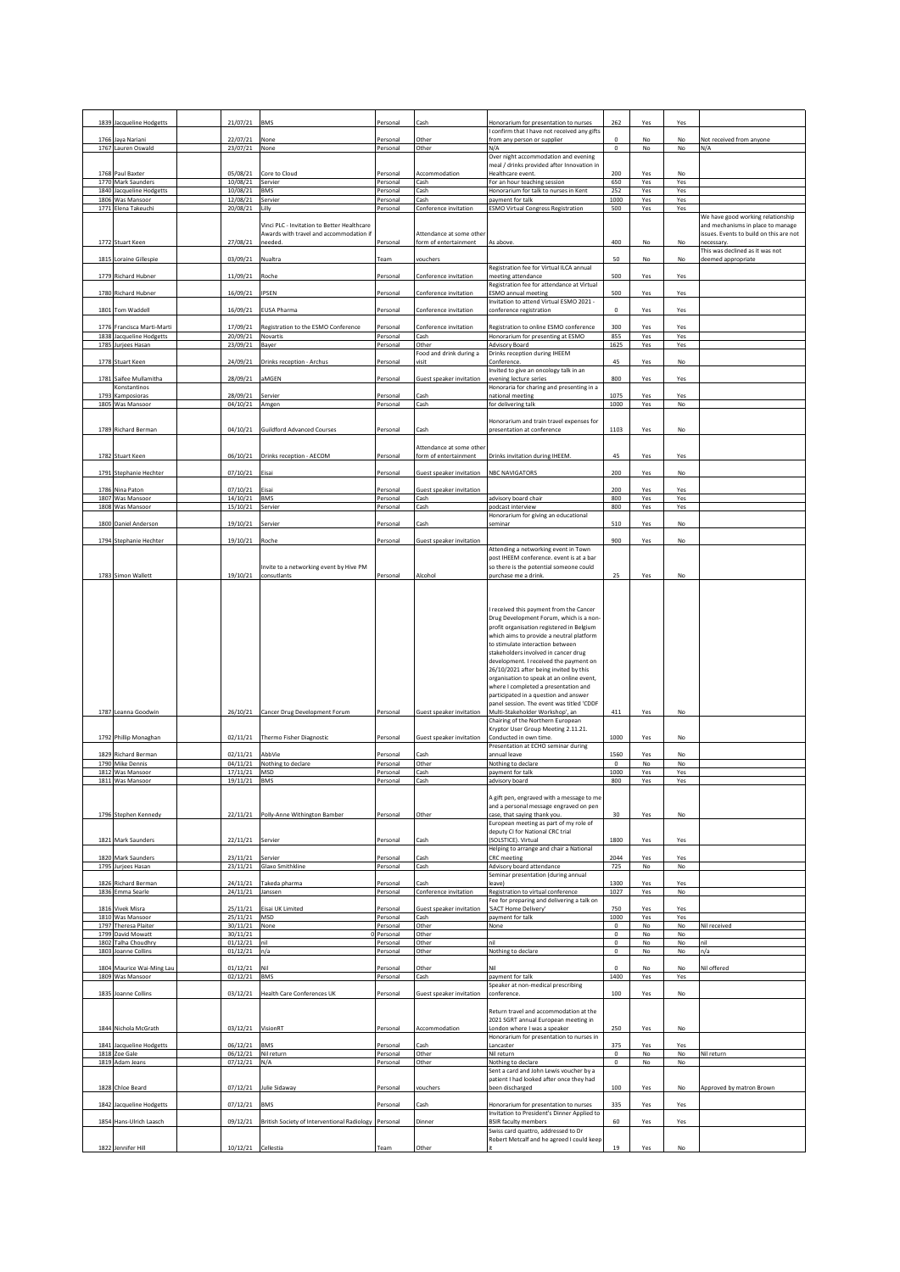|      | 1839 Jacqueline Hodgetts                       | 21/07/21                     | <b>BMS</b>                                                                             | Personal             | Cash                                             | Honorarium for presentation to nurses                                               | 262                        | Yes        | Yes        |                                                                              |
|------|------------------------------------------------|------------------------------|----------------------------------------------------------------------------------------|----------------------|--------------------------------------------------|-------------------------------------------------------------------------------------|----------------------------|------------|------------|------------------------------------------------------------------------------|
| 1766 | Jaya Nariani                                   | 22/07/21                     | None                                                                                   | Personal             | Other                                            | confirm that I have not received any gifts<br>from any person or supplier           | $\circ$                    | No         | No         | Not received from anyone                                                     |
|      | 1767 Lauren Oswald                             | 23/07/21                     | None                                                                                   | Personal             | Other                                            | N/A                                                                                 | $\mathbf 0$                | No         | No         | N/A                                                                          |
|      |                                                |                              |                                                                                        |                      |                                                  | Over night accommodation and evening<br>meal / drinks provided after Innovation in  |                            |            |            |                                                                              |
|      | 1768 Paul Baxter<br>1770 Mark Saunders         | 05/08/21<br>10/08/21         | Core to Cloud<br>Servier                                                               | Personal<br>Personal | Accommodation<br>Cash                            | Healthcare event.<br>For an hour teaching session                                   | 200<br>650                 | Yes<br>Yes | No<br>Yes  |                                                                              |
|      | 1840 Jacqueline Hodgetts                       | 10/08/21                     | <b>BMS</b>                                                                             | Personal             | Cash                                             | Honorarium for talk to nurses in Kent                                               | 252                        | Yes        | Yes        |                                                                              |
|      | 1806 Was Mansoor<br>1771 Elena Takeuchi        | 12/08/21<br>20/08/21         | Servier<br>Lilly                                                                       | Personal<br>Personal | Cash<br>Conference invitation                    | payment for talk<br><b>ESMO Virtual Congress Registration</b>                       | 1000<br>500                | Yes<br>Yes | Yes<br>Yes |                                                                              |
|      |                                                |                              |                                                                                        |                      |                                                  |                                                                                     |                            |            |            | We have good working relationship                                            |
|      |                                                |                              | Vinci PLC - Invitation to Better Healthcare<br>Awards with travel and accommodation if |                      | Attendance at some other                         |                                                                                     |                            |            |            | and mechanisms in place to manage<br>issues. Events to build on this are not |
|      | 1772 Stuart Keen                               | 27/08/21                     | needed.                                                                                | Personal             | form of entertainment                            | As above.                                                                           | 400                        | No         | No         | necessary<br>This was declined as it was not                                 |
|      | 1815 Loraine Gillespie                         | 03/09/21 Nualtra             |                                                                                        | Team                 | vouchers                                         |                                                                                     | 50                         | No         | No         | deemed appropriate                                                           |
|      | 1779 Richard Hubner                            | 11/09/21                     | Roche                                                                                  | Personal             | Conference invitation                            | Registration fee for Virtual ILCA annual<br>meeting attendance                      | 500                        | Yes        | Yes        |                                                                              |
|      |                                                |                              |                                                                                        |                      | Conference invitation                            | Registration fee for attendance at Virtual                                          |                            |            |            |                                                                              |
|      | 1780 Richard Hubner                            | 16/09/21                     | IPSEN                                                                                  | Personal             |                                                  | <b>ESMO</b> annual meeting<br>Invitation to attend Virtual ESMO 2021 -              | 500                        | Yes        | Yes        |                                                                              |
|      | 1801 Tom Waddell                               | 16/09/21                     | <b>EUSA Pharma</b>                                                                     | Personal             | Conference invitation                            | conference registration                                                             | $\circ$                    | Yes        | Yes        |                                                                              |
|      | 1776 Francisca Marti-Marti                     | 17/09/21                     | Registration to the ESMO Conference                                                    | Personal             | Conference invitation                            | Registration to online ESMO conference                                              | 300                        | Yes        | Yes        |                                                                              |
|      | 1838 Jacqueline Hodgetts<br>1785 Jurjees Hasan | 20/09/21<br>23/09/21         | Novartis<br>Bayer                                                                      | Personal<br>Personal | Cash<br>Other                                    | Honorarium for presenting at ESMO<br>Advisory Board                                 | 855<br>1625                | Yes<br>Yes | Yes<br>Yes |                                                                              |
|      | 1778 Stuart Keen                               | 24/09/21                     | Drinks reception - Archus                                                              | Personal             | ood and drink during a<br>visit                  | Drinks reception during IHEEM<br>Conference.                                        | 45                         | Yes        | No         |                                                                              |
|      |                                                |                              |                                                                                        |                      |                                                  | Invited to give an oncology talk in an                                              |                            |            |            |                                                                              |
|      | 1781 Saifee Mullamitha<br>Konstantinos         | 28/09/21                     | aMGEN                                                                                  | Personal             | Guest speaker invitation                         | evening lecture series<br>Honoraria for charing and presenting in a                 | 800                        | Yes        | Yes        |                                                                              |
|      | 1793 Kamposioras                               | 28/09/21                     | Servier                                                                                | Personal             | Cash                                             | national meeting                                                                    | 1075                       | Yes        | Yes        |                                                                              |
|      | 1805 Was Mansoor                               | 04/10/21 Amgen               |                                                                                        | Personal             | Cash                                             | for delivering talk                                                                 | 1000                       | Yes        | No         |                                                                              |
|      | 1789 Richard Berman                            | 04/10/21                     | <b>Guildford Advanced Courses</b>                                                      | Personal             | Cash                                             | Honorarium and train travel expenses for<br>presentation at conference              | 1103                       | Yes        | No         |                                                                              |
|      |                                                |                              |                                                                                        |                      |                                                  |                                                                                     |                            |            |            |                                                                              |
|      | 1782 Stuart Keen                               | 06/10/21                     | Drinks reception - AECOM                                                               | Personal             | Attendance at some othe<br>form of entertainment | Drinks invitation during IHEEM.                                                     | 45                         | Yes        | Yes        |                                                                              |
|      |                                                |                              |                                                                                        |                      |                                                  |                                                                                     |                            |            |            |                                                                              |
|      | 1791 Stephanie Hechter                         | 07/10/21                     | Eisai                                                                                  | Personal             | Guest speaker invitation                         | <b>NBC NAVIGATORS</b>                                                               | 200                        | Yes        | No         |                                                                              |
|      | 1786 Nina Paton<br>1807 Was Mansoor            | 07/10/21<br>14/10/21         | Eisai<br><b>BMS</b>                                                                    | Personal<br>Personal | <b>Guest speaker invitation</b><br>Cash          | advisory board chair                                                                | 200<br>800                 | Yes<br>Yes | Yes<br>Yes |                                                                              |
|      | 1808 Was Mansoor                               | 15/10/21                     | Servier                                                                                | Personal             | Cash                                             | podcast interview                                                                   | 800                        | Yes        | Yes        |                                                                              |
|      | 1800 Daniel Anderson                           | 19/10/21                     | Servier                                                                                | Personal             | Cash                                             | Honorarium for giving an educational<br>seminar                                     | 510                        | Yes        | No         |                                                                              |
|      |                                                |                              |                                                                                        |                      |                                                  |                                                                                     |                            |            |            |                                                                              |
|      | 1794 Stephanie Hechter                         | 19/10/21 Roche               |                                                                                        | Personal             | Guest speaker invitation                         | Attending a networking event in Town                                                | 900                        | Yes        | No         |                                                                              |
|      |                                                |                              | Invite to a networking event by Hive PM                                                |                      |                                                  | post IHEEM conference. event is at a bar<br>so there is the potential someone could |                            |            |            |                                                                              |
|      | 1783 Simon Wallett                             | 19/10/21                     | consutlants                                                                            | Personal             | Alcohol                                          | purchase me a drink.                                                                | 25                         | Yes        | No         |                                                                              |
|      |                                                |                              |                                                                                        |                      |                                                  |                                                                                     |                            |            |            |                                                                              |
|      |                                                |                              |                                                                                        |                      |                                                  | I received this payment from the Cancer<br>Drug Development Forum, which is a non-  |                            |            |            |                                                                              |
|      |                                                |                              |                                                                                        |                      |                                                  | profit organisation registered in Belgium                                           |                            |            |            |                                                                              |
|      |                                                |                              |                                                                                        |                      |                                                  | which aims to provide a neutral platform<br>to stimulate interaction between        |                            |            |            |                                                                              |
|      |                                                |                              |                                                                                        |                      |                                                  | stakeholders involved in cancer drug<br>development. I received the payment on      |                            |            |            |                                                                              |
|      |                                                |                              |                                                                                        |                      |                                                  | 26/10/2021 after being invited by this                                              |                            |            |            |                                                                              |
|      |                                                |                              |                                                                                        |                      |                                                  | organisation to speak at an online event,<br>where I completed a presentation and   |                            |            |            |                                                                              |
|      |                                                |                              |                                                                                        |                      |                                                  |                                                                                     |                            |            |            |                                                                              |
|      |                                                |                              |                                                                                        |                      |                                                  | participated in a question and answer                                               |                            |            |            |                                                                              |
|      | 1787 Leanna Goodwin                            |                              | 26/10/21 Cancer Drug Development Forum                                                 | Personal             | Guest speaker invitation                         | panel session. The event was titled 'CDDF<br>Multi-Stakeholder Workshop', an        | 411                        | Yes        | No         |                                                                              |
|      |                                                |                              |                                                                                        |                      |                                                  | Chairing of the Northern European                                                   |                            |            |            |                                                                              |
|      | 1792 Phillip Monaghan                          | 02/11/21                     | Thermo Fisher Diagnostic                                                               | Personal             | Guest speaker invitation                         | Kryptor User Group Meeting 2.11.21.<br>Conducted in own time.                       | 1000                       | Yes        | No         |                                                                              |
|      | 1829 Richard Berman                            | 02/11/21                     | AbbVie                                                                                 | Personal             | Cash                                             | Presentation at ECHO seminar during<br>annual leave                                 | 1560                       | Yes        | No         |                                                                              |
|      | 1790 Mike Dennis                               | 04/11/21                     | Nothing to declare                                                                     | Personal             | Other                                            | Nothing to declare                                                                  | $\mathbf 0$                | No         | No         |                                                                              |
|      | 1812 Was Mansoor<br>1811 Was Mansoor           | 17/11/21<br>19/11/21         | MSD<br><b>BMS</b>                                                                      | Personal<br>Personal | Cash<br>Cash                                     | payment for talk<br>advisory board                                                  | 1000<br>800                | Yes<br>Yes | Yes<br>Yes |                                                                              |
|      |                                                |                              |                                                                                        |                      |                                                  |                                                                                     |                            |            |            |                                                                              |
|      |                                                |                              |                                                                                        |                      |                                                  | A gift pen, engraved with a message to me<br>and a personal message engraved on pen |                            |            |            |                                                                              |
|      | 1796 Stephen Kennedy                           |                              | 22/11/21 Polly-Anne Withington Bamber                                                  | Personal             | Other                                            | case, that saying thank you.<br>European meeting as part of my role of              | 30                         | Yes        | No         |                                                                              |
|      |                                                |                              |                                                                                        | Personal             | Cash                                             | deputy CI for National CRC trial<br>(SOLSTICE). Virtual                             | 1800                       | Yes        | Yes        |                                                                              |
|      | 1821 Mark Saunders                             | 22/11/21 Servier             |                                                                                        |                      |                                                  | Helping to arrange and chair a National                                             |                            |            |            |                                                                              |
|      | 1820 Mark Saunders<br>1795 Jurjees Hasan       | 23/11/21<br>23/11/21         | Servier<br>Glaxo Smithkline                                                            | Personal<br>Personal | Cash<br>Cash                                     | <b>CRC</b> meeting<br>Advisory board attendance                                     | 2044<br>725                | Yes<br>No  | Yes<br>No  |                                                                              |
|      |                                                |                              |                                                                                        |                      |                                                  | Seminar presentation (during annual<br>leave)                                       |                            |            |            |                                                                              |
|      | 1826 Richard Berman<br>1836 Emma Searle        | 24/11/21<br>24/11/21 Janssen | Takeda pharma                                                                          | Personal<br>Personal | Cash<br>Conference invitation                    | Registration to virtual conference                                                  | 1300<br>1027               | Yes<br>Yes | Yes<br>No  |                                                                              |
|      | 1816 Vivek Misra                               | 25/11/21                     | Eisai UK Limited                                                                       | Personal             | Guest speaker invitation                         | Fee for preparing and delivering a talk on<br>'SACT Home Delivery'                  | 750                        | Yes        | Yes        |                                                                              |
|      | 1810 Was Mansoor                               | 25/11/21                     | MSD                                                                                    | Personal             | Cash                                             | payment for talk                                                                    | 1000                       | Yes        | Yes        |                                                                              |
|      | 1797 Theresa Plaiter<br>1799 David Mowatt      | 30/11/21<br>30/11/21         | None                                                                                   | Personal<br>Personal | Other<br>Other                                   | None                                                                                | $\mathbf 0$<br>0           | No<br>No   | No<br>No   | Nil received                                                                 |
|      | 1802 Talha Choudhry<br>1803 Joanne Collins     | 01/12/21<br>01/12/21         | nil<br>n/a                                                                             | Personal<br>Personal | Other<br>Other                                   | nil<br>Nothing to declare                                                           | $\mathbf 0$<br>$\mathbf 0$ | No<br>No   | No<br>No   | nil<br>n/a                                                                   |
|      |                                                |                              | Nil                                                                                    |                      |                                                  | Nil                                                                                 | $\Omega$                   |            |            |                                                                              |
|      | 1804 Maurice Wai-Ming Lau<br>1809 Was Mansoor  | 01/12/21<br>02/12/21         | <b>BMS</b>                                                                             | Personal<br>Personal | Other<br>Cash                                    | payment for talk                                                                    | 1400                       | No<br>Yes  | No<br>Yes  | Nil offered                                                                  |
|      | 1835 Joanne Collins                            | 03/12/21                     | <b>Health Care Conferences UK</b>                                                      | Personal             | Guest speaker invitation                         | Speaker at non-medical prescribing<br>conference.                                   | 100                        | Yes        | No         |                                                                              |
|      |                                                |                              |                                                                                        |                      |                                                  |                                                                                     |                            |            |            |                                                                              |
|      |                                                |                              |                                                                                        |                      |                                                  | Return travel and accommodation at the<br>2021 SGRT annual European meeting in      |                            |            |            |                                                                              |
|      | 1844 Nichola McGrath                           | 03/12/21                     | VisionRT                                                                               | Personal             | Accommodation                                    | London where I was a speaker                                                        | 250                        | Yes        | No         |                                                                              |
| 1841 | Jacqueline Hodgetts                            | 06/12/21                     | <b>BMS</b>                                                                             | Personal             | Cash                                             | Honorarium for presentation to nurses in<br>Lancaster                               | 375                        | Yes        | Yes        |                                                                              |
|      | 1818 Zoe Gale<br>1819 Adam Jeans               | 06/12/21<br>07/12/21         | Nil return<br>N/A                                                                      | Personal<br>Personal | Other<br>Other                                   | Nil return<br>Nothing to declare                                                    | $\mathbf 0$<br>$\mathbf 0$ | No<br>No   | No<br>No   | Nil return                                                                   |
|      |                                                |                              |                                                                                        |                      |                                                  | Sent a card and John Lewis voucher by a                                             |                            |            |            |                                                                              |
|      | 1828 Chloe Beard                               | 07/12/21                     | Julie Sidaway                                                                          | Personal             | vouchers                                         | patient I had looked after once they had<br>been discharged                         | 100                        | Yes        | No         | Approved by matron Brown                                                     |
|      | 1842 Jacqueline Hodgetts                       | 07/12/21                     | <b>BMS</b>                                                                             | Personal             | Cash                                             | Honorarium for presentation to nurses                                               | 335                        | Yes        | Yes        |                                                                              |
|      |                                                |                              |                                                                                        |                      |                                                  | Invitation to President's Dinner Applied to                                         |                            |            |            |                                                                              |
|      | 1854 Hans-Ulrich Laasch                        | 09/12/21                     | British Society of Interventional Radiology Personal                                   |                      | Dinner                                           | <b>BSIR faculty members</b><br>Swiss card quattro, addressed to Dr                  | 60                         | Yes        | Yes        |                                                                              |
|      | 1822 Jennifer Hill                             | 10/12/21 Cellestia           |                                                                                        | Team                 | Other                                            | Robert Metcalf and he agreed I could keep                                           | 19                         | Yes        | No         |                                                                              |